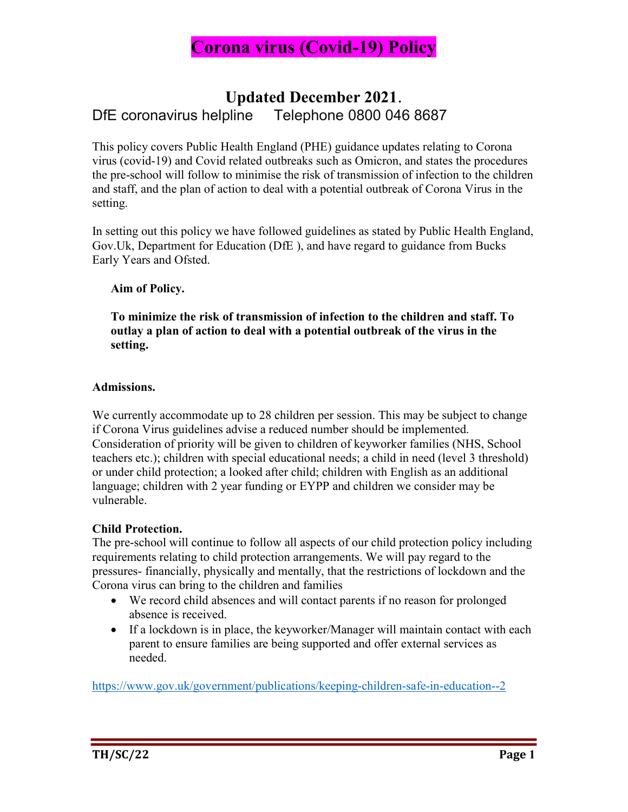

### Updated December 2021. DfE coronavirus helpline Telephone 0800 046 8687

This policy covers Public Health England (PHE) guidance updates relating to Corona virus (covid-19) and Covid related outbreaks such as Omicron, and states the procedures the pre-school will follow to minimise the risk of transmission of infection to the children and staff, and the plan of action to deal with a potential outbreak of Corona Virus in the setting.

In setting out this policy we have followed guidelines as stated by Public Health England, Gov.Uk, Department for Education (DfE ), and have regard to guidance from Bucks Early Years and Ofsted.

#### Aim of Policy.

To minimize the risk of transmission of infection to the children and staff. To outlay a plan of action to deal with a potential outbreak of the virus in the setting.

#### Admissions.

We currently accommodate up to 28 children per session. This may be subject to change if Corona Virus guidelines advise a reduced number should be implemented. Consideration of priority will be given to children of keyworker families (NHS, School teachers etc.); children with special educational needs; a child in need (level 3 threshold) or under child protection; a looked after child; children with English as an additional language; children with 2 year funding or EYPP and children we consider may be vulnerable.

#### Child Protection.

The pre-school will continue to follow all aspects of our child protection policy including requirements relating to child protection arrangements. We will pay regard to the pressures- financially, physically and mentally, that the restrictions of lockdown and the Corona virus can bring to the children and families

- We record child absences and will contact parents if no reason for prolonged absence is received.
- If a lockdown is in place, the keyworker/Manager will maintain contact with each parent to ensure families are being supported and offer external services as needed.

https://www.gov.uk/government/publications/keeping-children-safe-in-education--2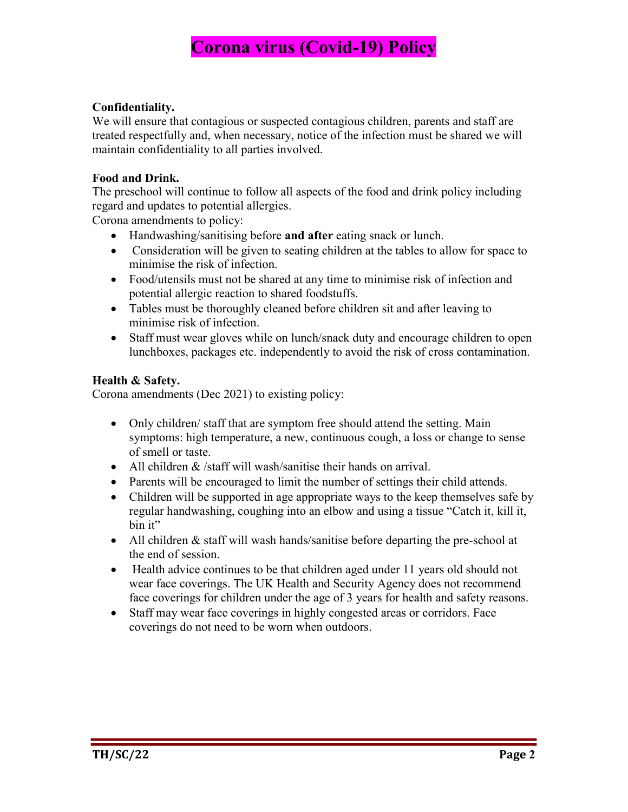#### Confidentiality.

We will ensure that contagious or suspected contagious children, parents and staff are treated respectfully and, when necessary, notice of the infection must be shared we will maintain confidentiality to all parties involved.

#### Food and Drink.

The preschool will continue to follow all aspects of the food and drink policy including regard and updates to potential allergies.

Corona amendments to policy:

- Handwashing/sanitising before and after eating snack or lunch.
- Consideration will be given to seating children at the tables to allow for space to minimise the risk of infection.
- Food/utensils must not be shared at any time to minimise risk of infection and potential allergic reaction to shared foodstuffs.
- Tables must be thoroughly cleaned before children sit and after leaving to minimise risk of infection.
- Staff must wear gloves while on lunch/snack duty and encourage children to open lunchboxes, packages etc. independently to avoid the risk of cross contamination.

#### Health & Safety.

Corona amendments (Dec 2021) to existing policy:

- Only children/ staff that are symptom free should attend the setting. Main symptoms: high temperature, a new, continuous cough, a loss or change to sense of smell or taste.
- All children & /staff will wash/sanitise their hands on arrival.
- Parents will be encouraged to limit the number of settings their child attends.
- Children will be supported in age appropriate ways to the keep themselves safe by regular handwashing, coughing into an elbow and using a tissue "Catch it, kill it, bin it"
- All children & staff will wash hands/sanitise before departing the pre-school at the end of session.
- Health advice continues to be that children aged under 11 years old should not wear face coverings. The UK Health and Security Agency does not recommend face coverings for children under the age of 3 years for health and safety reasons.
- Staff may wear face coverings in highly congested areas or corridors. Face coverings do not need to be worn when outdoors.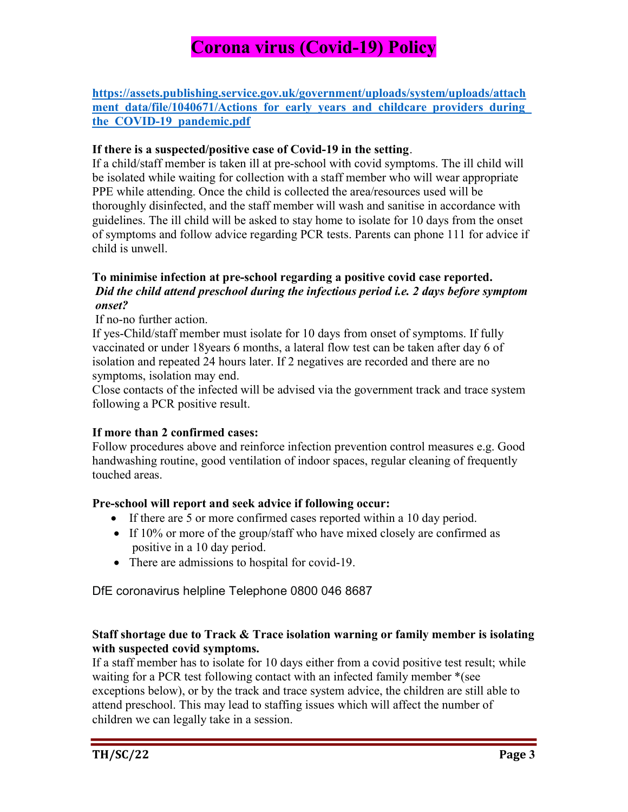https://assets.publishing.service.gov.uk/government/uploads/system/uploads/attach ment data/file/1040671/Actions for early years and childcare providers during the COVID-19 pandemic.pdf

#### If there is a suspected/positive case of Covid-19 in the setting.

If a child/staff member is taken ill at pre-school with covid symptoms. The ill child will be isolated while waiting for collection with a staff member who will wear appropriate PPE while attending. Once the child is collected the area/resources used will be thoroughly disinfected, and the staff member will wash and sanitise in accordance with guidelines. The ill child will be asked to stay home to isolate for 10 days from the onset of symptoms and follow advice regarding PCR tests. Parents can phone 111 for advice if child is unwell.

#### To minimise infection at pre-school regarding a positive covid case reported. Did the child attend preschool during the infectious period i.e. 2 days before symptom onset?

#### If no-no further action.

If yes-Child/staff member must isolate for 10 days from onset of symptoms. If fully vaccinated or under 18years 6 months, a lateral flow test can be taken after day 6 of isolation and repeated 24 hours later. If 2 negatives are recorded and there are no symptoms, isolation may end.

Close contacts of the infected will be advised via the government track and trace system following a PCR positive result.

#### If more than 2 confirmed cases:

Follow procedures above and reinforce infection prevention control measures e.g. Good handwashing routine, good ventilation of indoor spaces, regular cleaning of frequently touched areas.

#### Pre-school will report and seek advice if following occur:

- If there are 5 or more confirmed cases reported within a 10 day period.
- If  $10\%$  or more of the group/staff who have mixed closely are confirmed as positive in a 10 day period.
- There are admissions to hospital for covid-19.

DfE coronavirus helpline Telephone 0800 046 8687

#### Staff shortage due to Track & Trace isolation warning or family member is isolating with suspected covid symptoms.

If a staff member has to isolate for 10 days either from a covid positive test result; while waiting for a PCR test following contact with an infected family member \*(see exceptions below), or by the track and trace system advice, the children are still able to attend preschool. This may lead to staffing issues which will affect the number of children we can legally take in a session.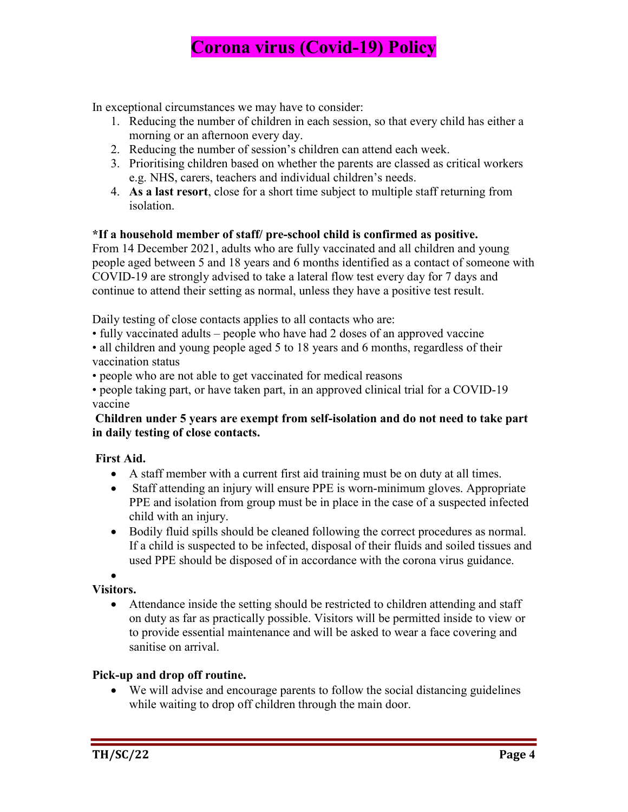In exceptional circumstances we may have to consider:

- 1. Reducing the number of children in each session, so that every child has either a morning or an afternoon every day.
- 2. Reducing the number of session's children can attend each week.
- 3. Prioritising children based on whether the parents are classed as critical workers e.g. NHS, carers, teachers and individual children's needs.
- 4. As a last resort, close for a short time subject to multiple staff returning from isolation.

#### \*If a household member of staff/ pre-school child is confirmed as positive.

From 14 December 2021, adults who are fully vaccinated and all children and young people aged between 5 and 18 years and 6 months identified as a contact of someone with COVID-19 are strongly advised to take a lateral flow test every day for 7 days and continue to attend their setting as normal, unless they have a positive test result.

Daily testing of close contacts applies to all contacts who are:

• fully vaccinated adults – people who have had 2 doses of an approved vaccine

• all children and young people aged 5 to 18 years and 6 months, regardless of their vaccination status

• people who are not able to get vaccinated for medical reasons

• people taking part, or have taken part, in an approved clinical trial for a COVID-19 vaccine

#### Children under 5 years are exempt from self-isolation and do not need to take part in daily testing of close contacts.

#### First Aid.

- A staff member with a current first aid training must be on duty at all times.
- Staff attending an injury will ensure PPE is worn-minimum gloves. Appropriate PPE and isolation from group must be in place in the case of a suspected infected child with an injury.
- Bodily fluid spills should be cleaned following the correct procedures as normal. If a child is suspected to be infected, disposal of their fluids and soiled tissues and used PPE should be disposed of in accordance with the corona virus guidance.

 $\bullet$ Visitors.

> Attendance inside the setting should be restricted to children attending and staff on duty as far as practically possible. Visitors will be permitted inside to view or to provide essential maintenance and will be asked to wear a face covering and sanitise on arrival.

#### Pick-up and drop off routine.

 We will advise and encourage parents to follow the social distancing guidelines while waiting to drop off children through the main door.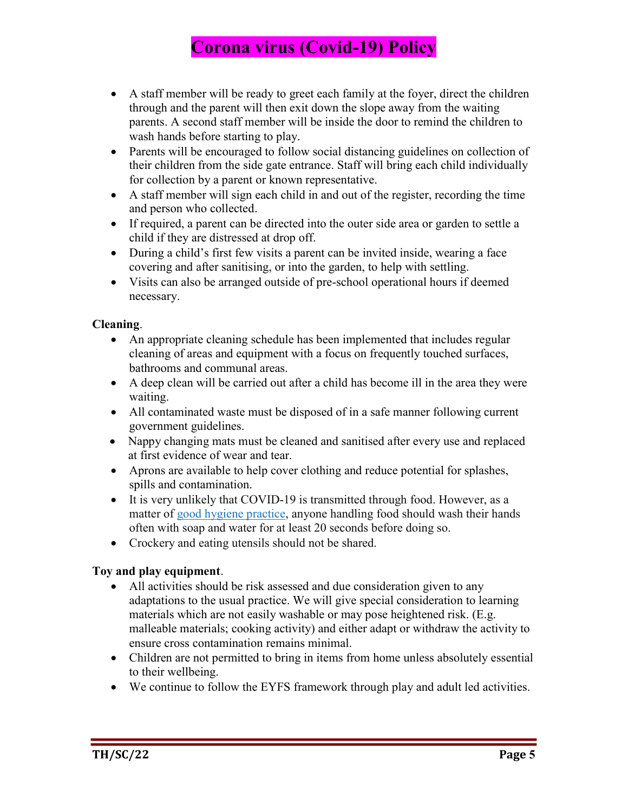- A staff member will be ready to greet each family at the foyer, direct the children through and the parent will then exit down the slope away from the waiting parents. A second staff member will be inside the door to remind the children to wash hands before starting to play.
- Parents will be encouraged to follow social distancing guidelines on collection of their children from the side gate entrance. Staff will bring each child individually for collection by a parent or known representative.
- A staff member will sign each child in and out of the register, recording the time and person who collected.
- If required, a parent can be directed into the outer side area or garden to settle a child if they are distressed at drop off.
- During a child's first few visits a parent can be invited inside, wearing a face covering and after sanitising, or into the garden, to help with settling.
- Visits can also be arranged outside of pre-school operational hours if deemed necessary.

#### Cleaning.

- An appropriate cleaning schedule has been implemented that includes regular cleaning of areas and equipment with a focus on frequently touched surfaces, bathrooms and communal areas.
- A deep clean will be carried out after a child has become ill in the area they were waiting.
- All contaminated waste must be disposed of in a safe manner following current government guidelines.
- Nappy changing mats must be cleaned and sanitised after every use and replaced at first evidence of wear and tear.
- Aprons are available to help cover clothing and reduce potential for splashes, spills and contamination.
- It is very unlikely that COVID-19 is transmitted through food. However, as a matter of good hygiene practice, anyone handling food should wash their hands often with soap and water for at least 20 seconds before doing so.
- Crockery and eating utensils should not be shared.

#### Toy and play equipment.

- All activities should be risk assessed and due consideration given to any adaptations to the usual practice. We will give special consideration to learning materials which are not easily washable or may pose heightened risk. (E.g. malleable materials; cooking activity) and either adapt or withdraw the activity to ensure cross contamination remains minimal.
- Children are not permitted to bring in items from home unless absolutely essential to their wellbeing.
- We continue to follow the EYFS framework through play and adult led activities.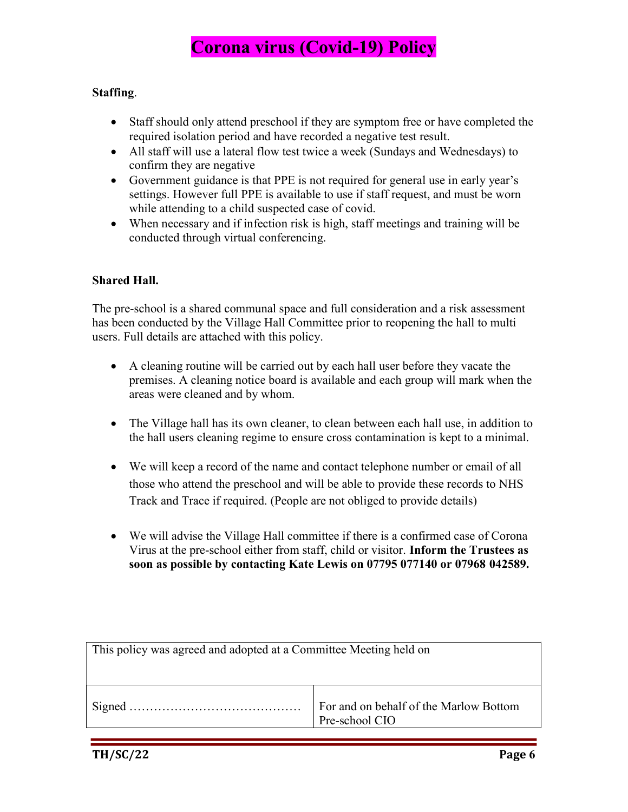#### Staffing.

- Staff should only attend preschool if they are symptom free or have completed the required isolation period and have recorded a negative test result.
- All staff will use a lateral flow test twice a week (Sundays and Wednesdays) to confirm they are negative
- Government guidance is that PPE is not required for general use in early year's settings. However full PPE is available to use if staff request, and must be worn while attending to a child suspected case of covid.
- When necessary and if infection risk is high, staff meetings and training will be conducted through virtual conferencing.

#### Shared Hall.

The pre-school is a shared communal space and full consideration and a risk assessment has been conducted by the Village Hall Committee prior to reopening the hall to multi users. Full details are attached with this policy.

- A cleaning routine will be carried out by each hall user before they vacate the premises. A cleaning notice board is available and each group will mark when the areas were cleaned and by whom.
- The Village hall has its own cleaner, to clean between each hall use, in addition to the hall users cleaning regime to ensure cross contamination is kept to a minimal.
- We will keep a record of the name and contact telephone number or email of all those who attend the preschool and will be able to provide these records to NHS Track and Trace if required. (People are not obliged to provide details)
- We will advise the Village Hall committee if there is a confirmed case of Corona Virus at the pre-school either from staff, child or visitor. Inform the Trustees as soon as possible by contacting Kate Lewis on 07795 077140 or 07968 042589.

This policy was agreed and adopted at a Committee Meeting held on Signed …………………………………… For and on behalf of the Marlow Bottom Pre-school CIO